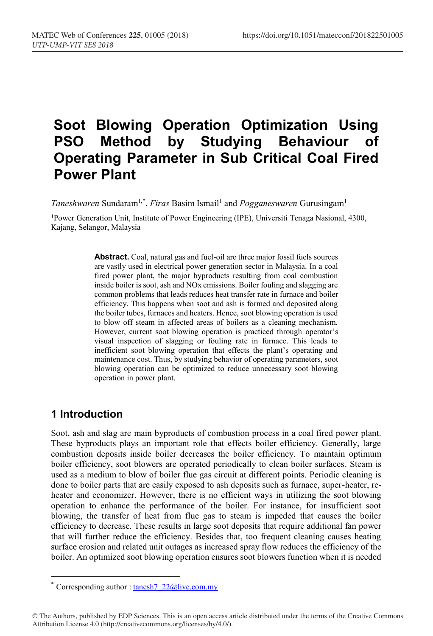# **Soot Blowing Operation Optimization Using PSO Method by Studying Behaviour of Operating Parameter in Sub Critical Coal Fired Power Plant**

*Taneshwaren* Sundaram<sup>1,\*</sup>, *Firas* Basim Ismail<sup>1</sup> and *Pogganeswaren* Gurusingam<sup>1</sup>

1Power Generation Unit, Institute of Power Engineering (IPE), Universiti Tenaga Nasional, 4300, Kajang, Selangor, Malaysia

> **Abstract.** Coal, natural gas and fuel-oil are three major fossil fuels sources are vastly used in electrical power generation sector in Malaysia. In a coal fired power plant, the major byproducts resulting from coal combustion inside boiler is soot, ash and NOx emissions. Boiler fouling and slagging are common problems that leads reduces heat transfer rate in furnace and boiler efficiency. This happens when soot and ash is formed and deposited along the boiler tubes, furnaces and heaters. Hence, soot blowing operation is used to blow off steam in affected areas of boilers as a cleaning mechanism. However, current soot blowing operation is practiced through operator's visual inspection of slagging or fouling rate in furnace. This leads to inefficient soot blowing operation that effects the plant's operating and maintenance cost. Thus, by studying behavior of operating parameters, soot blowing operation can be optimized to reduce unnecessary soot blowing operation in power plant.

## **1 Introduction**

Soot, ash and slag are main byproducts of combustion process in a coal fired power plant. These byproducts plays an important role that effects boiler efficiency. Generally, large combustion deposits inside boiler decreases the boiler efficiency. To maintain optimum boiler efficiency, soot blowers are operated periodically to clean boiler surfaces. Steam is used as a medium to blow of boiler flue gas circuit at different points. Periodic cleaning is done to boiler parts that are easily exposed to ash deposits such as furnace, super-heater, reheater and economizer. However, there is no efficient ways in utilizing the soot blowing operation to enhance the performance of the boiler. For instance, for insufficient soot blowing, the transfer of heat from flue gas to steam is impeded that causes the boiler efficiency to decrease. These results in large soot deposits that require additional fan power that will further reduce the efficiency. Besides that, too frequent cleaning causes heating surface erosion and related unit outages as increased spray flow reduces the efficiency of the boiler. An optimized soot blowing operation ensures soot blowers function when it is needed

<sup>\*</sup> Corresponding author : tanesh  $7\,22$ @live.com.my

<sup>©</sup> The Authors, published by EDP Sciences. This is an open access article distributed under the terms of the Creative Commons Attribution License 4.0 (http://creativecommons.org/licenses/by/4.0/).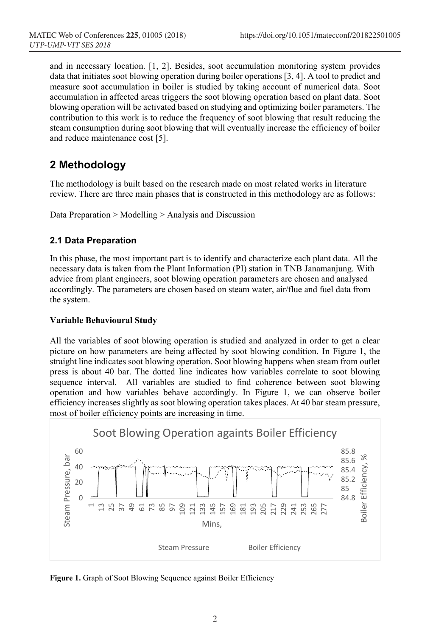and in necessary location. [1, 2]. Besides, soot accumulation monitoring system provides data that initiates soot blowing operation during boiler operations [3, 4]. A tool to predict and measure soot accumulation in boiler is studied by taking account of numerical data. Soot accumulation in affected areas triggers the soot blowing operation based on plant data. Soot blowing operation will be activated based on studying and optimizing boiler parameters. The contribution to this work is to reduce the frequency of soot blowing that result reducing the steam consumption during soot blowing that will eventually increase the efficiency of boiler and reduce maintenance cost [5].

## **2 Methodology**

The methodology is built based on the research made on most related works in literature review. There are three main phases that is constructed in this methodology are as follows:

Data Preparation > Modelling > Analysis and Discussion

### **2.1 Data Preparation**

In this phase, the most important part is to identify and characterize each plant data. All the necessary data is taken from the Plant Information (PI) station in TNB Janamanjung. With advice from plant engineers, soot blowing operation parameters are chosen and analysed accordingly. The parameters are chosen based on steam water, air/flue and fuel data from the system.

#### **Variable Behavioural Study**

All the variables of soot blowing operation is studied and analyzed in order to get a clear picture on how parameters are being affected by soot blowing condition. In Figure 1, the straight line indicates soot blowing operation. Soot blowing happens when steam from outlet press is about 40 bar. The dotted line indicates how variables correlate to soot blowing sequence interval. All variables are studied to find coherence between soot blowing operation and how variables behave accordingly. In Figure 1, we can observe boiler efficiency increases slightly as soot blowing operation takes places. At 40 bar steam pressure, most of boiler efficiency points are increasing in time.



**Figure 1.** Graph of Soot Blowing Sequence against Boiler Efficiency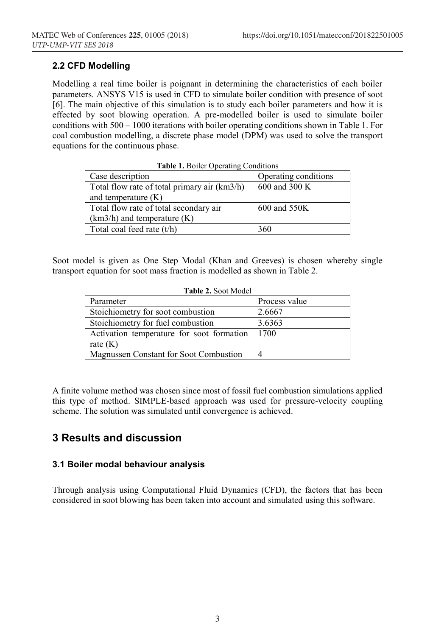#### **2.2 CFD Modelling**

Modelling a real time boiler is poignant in determining the characteristics of each boiler parameters. ANSYS V15 is used in CFD to simulate boiler condition with presence of soot [6]. The main objective of this simulation is to study each boiler parameters and how it is effected by soot blowing operation. A pre-modelled boiler is used to simulate boiler conditions with 500 – 1000 iterations with boiler operating conditions shown in Table 1. For coal combustion modelling, a discrete phase model (DPM) was used to solve the transport equations for the continuous phase.

| <b>Table 1. Boiler Operating Conditions</b>  |                      |  |  |  |  |  |  |
|----------------------------------------------|----------------------|--|--|--|--|--|--|
| Case description                             | Operating conditions |  |  |  |  |  |  |
| Total flow rate of total primary air (km3/h) | 600 and 300 K        |  |  |  |  |  |  |
| and temperature $(K)$                        |                      |  |  |  |  |  |  |
| Total flow rate of total secondary air       | 600 and 550K         |  |  |  |  |  |  |
| $(km3/h)$ and temperature $(K)$              |                      |  |  |  |  |  |  |
| Total coal feed rate (t/h)                   | 360                  |  |  |  |  |  |  |

|  |  |  |  |  | $\Gamma_{\text{oot}}$ model is given as One Step Model (Kbon and Greeves) is chosen whereby sing |  |  |
|--|--|--|--|--|--------------------------------------------------------------------------------------------------|--|--|

|  |  |  |  |  | Soot model is given as One Step Modal (Khan and Greeves) is chosen whereby single |  |  |
|--|--|--|--|--|-----------------------------------------------------------------------------------|--|--|
|  |  |  |  |  | transport equation for soot mass fraction is modelled as shown in Table 2.        |  |  |

| <b>Table 2. Soot Model</b> |  |
|----------------------------|--|
|----------------------------|--|

| Parameter                                        | Process value |
|--------------------------------------------------|---------------|
| Stoichiometry for soot combustion                | 2.6667        |
| Stoichiometry for fuel combustion                | 3.6363        |
| Activation temperature for soot formation   1700 |               |
| rate $(K)$                                       |               |
| Magnussen Constant for Soot Combustion           |               |

A finite volume method was chosen since most of fossil fuel combustion simulations applied this type of method. SIMPLE-based approach was used for pressure-velocity coupling scheme. The solution was simulated until convergence is achieved.

## **3 Results and discussion**

### **3.1 Boiler modal behaviour analysis**

Through analysis using Computational Fluid Dynamics (CFD), the factors that has been considered in soot blowing has been taken into account and simulated using this software.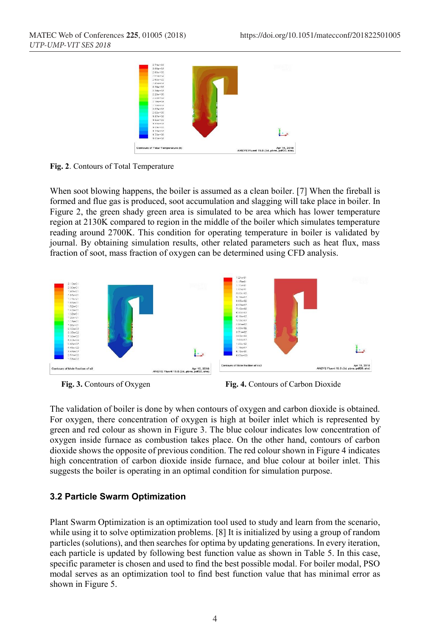

**Fig. 2**. Contours of Total Temperature

When soot blowing happens, the boiler is assumed as a clean boiler. [7] When the fireball is formed and flue gas is produced, soot accumulation and slagging will take place in boiler. In Figure 2, the green shady green area is simulated to be area which has lower temperature region at 2130K compared to region in the middle of the boiler which simulates temperature reading around 2700K. This condition for operating temperature in boiler is validated by journal. By obtaining simulation results, other related parameters such as heat flux, mass fraction of soot, mass fraction of oxygen can be determined using CFD analysis.



 **Fig. 3.** Contours of Oxygen **Fig. 4.** Contours of Carbon Dioxide

The validation of boiler is done by when contours of oxygen and carbon dioxide is obtained. For oxygen, there concentration of oxygen is high at boiler inlet which is represented by green and red colour as shown in Figure 3. The blue colour indicates low concentration of oxygen inside furnace as combustion takes place. On the other hand, contours of carbon dioxide shows the opposite of previous condition. The red colour shown in Figure 4 indicates high concentration of carbon dioxide inside furnace, and blue colour at boiler inlet. This suggests the boiler is operating in an optimal condition for simulation purpose.

#### **3.2 Particle Swarm Optimization**

Plant Swarm Optimization is an optimization tool used to study and learn from the scenario, while using it to solve optimization problems. [8] It is initialized by using a group of random particles (solutions), and then searches for optima by updating generations. In every iteration, each particle is updated by following best function value as shown in Table 5. In this case, specific parameter is chosen and used to find the best possible modal. For boiler modal, PSO modal serves as an optimization tool to find best function value that has minimal error as shown in Figure 5.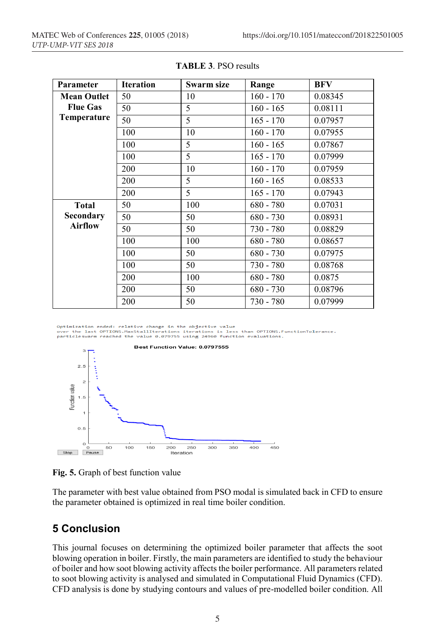| Parameter          | <b>Iteration</b> | Swarm size | Range       | BFV     |
|--------------------|------------------|------------|-------------|---------|
| <b>Mean Outlet</b> | 50               | 10         | $160 - 170$ | 0.08345 |
| <b>Flue Gas</b>    | 50               | 5          | $160 - 165$ | 0.08111 |
| Temperature        | 50               | 5          | $165 - 170$ | 0.07957 |
|                    | 100              | 10         | $160 - 170$ | 0.07955 |
|                    | 100              | 5          | $160 - 165$ | 0.07867 |
|                    | 100              | 5          | $165 - 170$ | 0.07999 |
|                    | 200              | 10         | $160 - 170$ | 0.07959 |
|                    | 200              | 5          | $160 - 165$ | 0.08533 |
|                    | 200              | 5          | $165 - 170$ | 0.07943 |
| <b>Total</b>       | 50               | 100        | $680 - 780$ | 0.07031 |
| Secondary          | 50               | 50         | 680 - 730   | 0.08931 |
| <b>Airflow</b>     | 50               | 50         | 730 - 780   | 0.08829 |
|                    | 100              | 100        | $680 - 780$ | 0.08657 |
|                    | 100              | 50         | $680 - 730$ | 0.07975 |
|                    | 100              | 50         | 730 - 780   | 0.08768 |
|                    | 200              | 100        | $680 - 780$ | 0.0875  |
|                    | 200              | 50         | $680 - 730$ | 0.08796 |
|                    | 200              | 50         | 730 - 780   | 0.07999 |

**TABLE 3**. PSO results

Optimization ended: relative change in the objective value over the last OPTIONS.MaxStallIterations iterations is less than OPTIONS.FunctionTolerance.<br>particleswarm reached the value 0.079755 using 24960 function evaluations.<br>particleswarm reached the value 0.079755 using 24960 fu



**Fig. 5.** Graph of best function value

The parameter with best value obtained from PSO modal is simulated back in CFD to ensure the parameter obtained is optimized in real time boiler condition.

## **5 Conclusion**

This journal focuses on determining the optimized boiler parameter that affects the soot blowing operation in boiler. Firstly, the main parameters are identified to study the behaviour of boiler and how soot blowing activity affects the boiler performance. All parameters related to soot blowing activity is analysed and simulated in Computational Fluid Dynamics (CFD). CFD analysis is done by studying contours and values of pre-modelled boiler condition. All